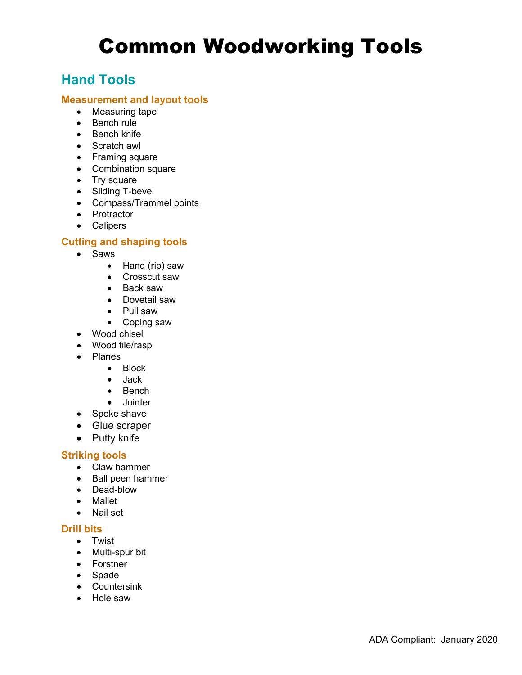# Common Woodworking Tools

## **Hand Tools**

#### **Measurement and layout tools**

- Measuring tape
- Bench rule
- Bench knife
- Scratch awl
- Framing square
- Combination square
- Try square
- Sliding T-bevel
- Compass/Trammel points
- Protractor
- Calipers

#### **Cutting and shaping tools**

- • Saws
	- Hand (rip) saw
	- Crosscut saw
	- Back saw
	- Dovetail saw
	- Pull saw
	- Coping saw
- Wood chisel
- Wood file/rasp
- • Planes
	- Block
	- $\bullet$ • Jack
	- $\bullet$ **Bench**
	- Jointer
- Spoke shave
- Glue scraper
- Putty knife

#### **Striking tools**

- Claw hammer
- Ball peen hammer
- Dead-blow
- Mallet
- Nail set

#### **Drill bits**

- Twist
- Multi-spur bit
- Forstner
- Spade
- Countersink
- Hole saw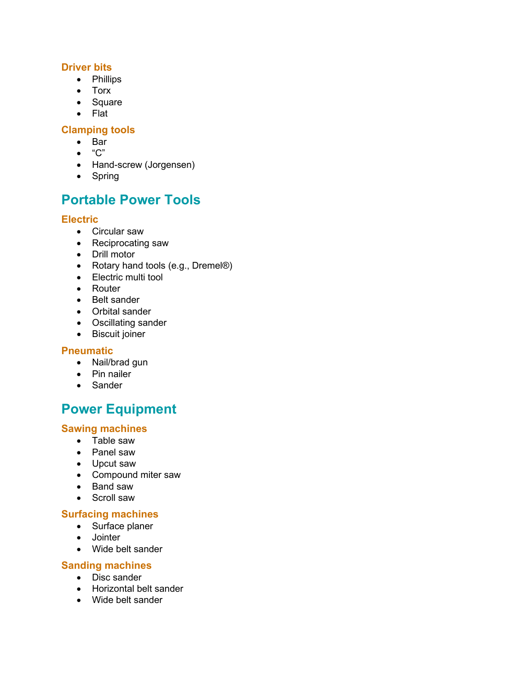#### **Driver bits**

- Phillips
- Torx
- Square
- Flat

#### **Clamping tools**

- Bar
- "C"
- Hand-screw (Jorgensen)
- Spring

## **Portable Power Tools**

#### **Electric**

- Circular saw
- Reciprocating saw
- Drill motor
- Rotary hand tools (e.g., Dremel®)
- Electric multi tool
- Router
- Belt sander
- Orbital sander
- Oscillating sander
- Biscuit joiner

#### **Pneumatic**

- Nail/brad gun
- Pin nailer
- Sander

# **Power Equipment**

#### **Sawing machines**

- Table saw
- Panel saw
- Upcut saw
- Compound miter saw
- Band saw
- Scroll saw

### **Surfacing machines**

- Surface planer
- Jointer
- Wide belt sander

#### **Sanding machines**

- Disc sander
- Horizontal belt sander
- Wide belt sander